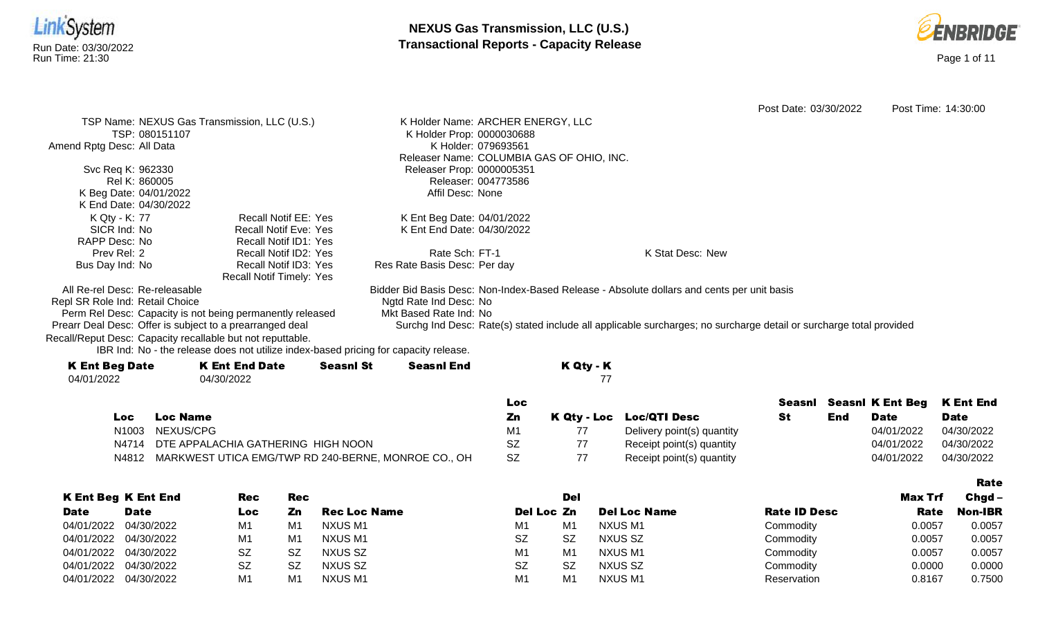



|                                                            |                                                                                      |                  |                                   |                     |                                           |                                                                                                                    | Post Date: 03/30/2022 |     |                         | Post Time: 14:30:00 |
|------------------------------------------------------------|--------------------------------------------------------------------------------------|------------------|-----------------------------------|---------------------|-------------------------------------------|--------------------------------------------------------------------------------------------------------------------|-----------------------|-----|-------------------------|---------------------|
|                                                            | TSP Name: NEXUS Gas Transmission, LLC (U.S.)                                         |                  | K Holder Name: ARCHER ENERGY, LLC |                     |                                           |                                                                                                                    |                       |     |                         |                     |
| TSP: 080151107                                             |                                                                                      |                  | K Holder Prop: 0000030688         |                     |                                           |                                                                                                                    |                       |     |                         |                     |
| Amend Rptg Desc: All Data                                  |                                                                                      |                  |                                   | K Holder: 079693561 |                                           |                                                                                                                    |                       |     |                         |                     |
|                                                            |                                                                                      |                  |                                   |                     | Releaser Name: COLUMBIA GAS OF OHIO, INC. |                                                                                                                    |                       |     |                         |                     |
| Svc Req K: 962330                                          |                                                                                      |                  | Releaser Prop: 0000005351         |                     |                                           |                                                                                                                    |                       |     |                         |                     |
| Rel K: 860005                                              |                                                                                      |                  |                                   | Releaser: 004773586 |                                           |                                                                                                                    |                       |     |                         |                     |
| K Beg Date: 04/01/2022                                     |                                                                                      |                  | Affil Desc: None                  |                     |                                           |                                                                                                                    |                       |     |                         |                     |
| K End Date: 04/30/2022                                     |                                                                                      |                  |                                   |                     |                                           |                                                                                                                    |                       |     |                         |                     |
| K Qty - K: 77                                              | <b>Recall Notif EE: Yes</b>                                                          |                  | K Ent Beg Date: 04/01/2022        |                     |                                           |                                                                                                                    |                       |     |                         |                     |
| SICR Ind: No                                               | <b>Recall Notif Eve: Yes</b>                                                         |                  | K Ent End Date: 04/30/2022        |                     |                                           |                                                                                                                    |                       |     |                         |                     |
| RAPP Desc: No                                              | <b>Recall Notif ID1: Yes</b>                                                         |                  |                                   |                     |                                           |                                                                                                                    |                       |     |                         |                     |
| Prev Rel: 2                                                | Recall Notif ID2: Yes                                                                |                  | Rate Sch: FT-1                    |                     |                                           | K Stat Desc: New                                                                                                   |                       |     |                         |                     |
| Bus Day Ind: No                                            | Recall Notif ID3: Yes                                                                |                  | Res Rate Basis Desc: Per day      |                     |                                           |                                                                                                                    |                       |     |                         |                     |
|                                                            | <b>Recall Notif Timely: Yes</b>                                                      |                  |                                   |                     |                                           |                                                                                                                    |                       |     |                         |                     |
| All Re-rel Desc: Re-releasable                             |                                                                                      |                  |                                   |                     |                                           | Bidder Bid Basis Desc: Non-Index-Based Release - Absolute dollars and cents per unit basis                         |                       |     |                         |                     |
| Repl SR Role Ind: Retail Choice                            |                                                                                      |                  | Ngtd Rate Ind Desc: No            |                     |                                           |                                                                                                                    |                       |     |                         |                     |
|                                                            | Perm Rel Desc: Capacity is not being permanently released                            |                  | Mkt Based Rate Ind: No            |                     |                                           |                                                                                                                    |                       |     |                         |                     |
| Prearr Deal Desc: Offer is subject to a prearranged deal   |                                                                                      |                  |                                   |                     |                                           | Surchg Ind Desc: Rate(s) stated include all applicable surcharges; no surcharge detail or surcharge total provided |                       |     |                         |                     |
| Recall/Reput Desc: Capacity recallable but not reputtable. |                                                                                      |                  |                                   |                     |                                           |                                                                                                                    |                       |     |                         |                     |
|                                                            | IBR Ind: No - the release does not utilize index-based pricing for capacity release. |                  |                                   |                     |                                           |                                                                                                                    |                       |     |                         |                     |
| <b>K Ent Beg Date</b>                                      | <b>K Ent End Date</b>                                                                | <b>Seasnl St</b> | <b>Seasnl End</b>                 |                     | K Qty - K                                 |                                                                                                                    |                       |     |                         |                     |
| 04/01/2022                                                 | 04/30/2022                                                                           |                  |                                   |                     | 77                                        |                                                                                                                    |                       |     |                         |                     |
|                                                            |                                                                                      |                  |                                   | Loc                 |                                           |                                                                                                                    | Seasnl                |     | <b>Seasni K Ent Beg</b> | <b>K Ent End</b>    |
| <b>Loc</b>                                                 | <b>Loc Name</b>                                                                      |                  |                                   | Zn                  | K Qty - Loc                               | <b>Loc/QTI Desc</b>                                                                                                | <b>St</b>             | End | <b>Date</b>             | <b>Date</b>         |
| N <sub>1003</sub>                                          | NEXUS/CPG                                                                            |                  |                                   | M1                  | 77                                        |                                                                                                                    |                       |     | 04/01/2022              | 04/30/2022          |
|                                                            |                                                                                      |                  |                                   |                     |                                           | Delivery point(s) quantity                                                                                         |                       |     |                         |                     |
| N4714                                                      | DTE APPALACHIA GATHERING HIGH NOON                                                   |                  |                                   | <b>SZ</b>           | 77                                        | Receipt point(s) quantity                                                                                          |                       |     | 04/01/2022              | 04/30/2022          |
| N4812                                                      | MARKWEST UTICA EMG/TWP RD 240-BERNE, MONROE CO., OH                                  |                  |                                   | <b>SZ</b>           | 77                                        | Receipt point(s) quantity                                                                                          |                       |     | 04/01/2022              | 04/30/2022          |

|             |                            |     |     |                     |                |                |                     |                     |                | Rate           |
|-------------|----------------------------|-----|-----|---------------------|----------------|----------------|---------------------|---------------------|----------------|----------------|
|             | <b>K Ent Beg K Ent End</b> | Rec | Rec |                     |                | Del            |                     |                     | <b>Max Trf</b> | Chgd -         |
| <b>Date</b> | <b>Date</b>                | Loc | Zn  | <b>Rec Loc Name</b> | Del Loc Zn     |                | <b>Del Loc Name</b> | <b>Rate ID Desc</b> | Rate           | <b>Non-IBR</b> |
| 04/01/2022  | 04/30/2022                 | M1  | M1  | NXUS M1             | M1             | M1             | NXUS M1             | Commodity           | 0.0057         | 0.0057         |
| 04/01/2022  | 04/30/2022                 | M1  | M1  | NXUS M1             | SZ             | -SZ            | NXUS SZ             | Commodity           | 0.0057         | 0.0057         |
| 04/01/2022  | 04/30/2022                 | SZ  | SZ  | NXUS SZ             | M <sub>1</sub> | M <sub>1</sub> | NXUS M1             | Commodity           | 0.0057         | 0.0057         |
| 04/01/2022  | 04/30/2022                 | SZ  | SZ  | NXUS SZ             | SZ             | -SZ            | NXUS SZ             | Commodity           | 0.0000         | 0.0000         |
| 04/01/2022  | 04/30/2022                 | M1  | M1  | NXUS M1             | M <sub>1</sub> | M <sub>1</sub> | NXUS M1             | Reservation         | 0.8167         | 0.7500         |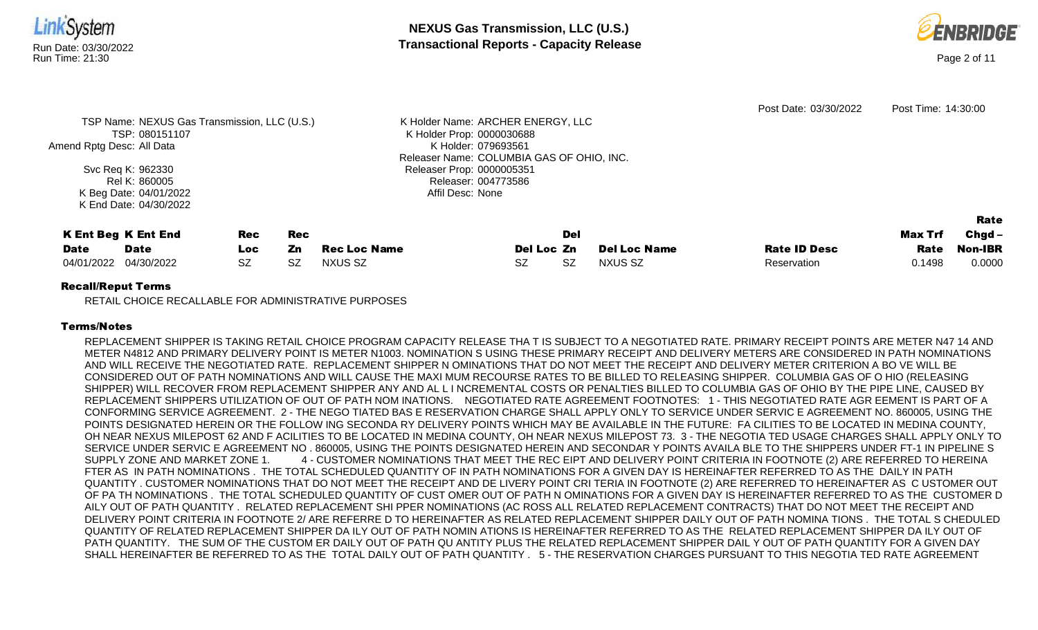



| TSP Name: NEXUS Gas Transmission, LLC (U.S.)<br>TSP: 080151107<br>Amend Rptg Desc: All Data<br>Svc Req K: 962330<br>Rel K: 860005<br>K Beg Date: 04/01/2022<br>K End Date: 04/30/2022 |                            |           | K Holder Name: ARCHER ENERGY, LLC<br>K Holder Prop: 0000030688<br>K Holder: 079693561<br>Releaser Name: COLUMBIA GAS OF OHIO, INC.<br>Releaser Prop: 0000005351<br>Releaser: 004773586<br>Affil Desc: None |                     |            | Post Date: 03/30/2022 | Post Time: 14:30:00 |                     |         |          |
|---------------------------------------------------------------------------------------------------------------------------------------------------------------------------------------|----------------------------|-----------|------------------------------------------------------------------------------------------------------------------------------------------------------------------------------------------------------------|---------------------|------------|-----------------------|---------------------|---------------------|---------|----------|
|                                                                                                                                                                                       |                            |           |                                                                                                                                                                                                            |                     |            |                       |                     |                     |         | Rate     |
|                                                                                                                                                                                       | <b>K Ent Beg K Ent End</b> | Rec       | <b>Rec</b>                                                                                                                                                                                                 |                     |            | Del                   |                     |                     | Max Trf | $Chgd -$ |
| <b>Date</b>                                                                                                                                                                           | <b>Date</b>                | Loc.      | Zn                                                                                                                                                                                                         | <b>Rec Loc Name</b> | Del Loc Zn |                       | <b>Del Loc Name</b> | <b>Rate ID Desc</b> | Rate    | Non-IBR  |
| 04/01/2022                                                                                                                                                                            | 04/30/2022                 | <b>SZ</b> | SZ                                                                                                                                                                                                         | NXUS SZ             | <b>SZ</b>  | <b>SZ</b>             | NXUS SZ             | Reservation         | 0.1498  | 0.0000   |
| ________                                                                                                                                                                              |                            |           |                                                                                                                                                                                                            |                     |            |                       |                     |                     |         |          |

# Recall/Reput Terms

RETAIL CHOICE RECALLABLE FOR ADMINISTRATIVE PURPOSES

# Terms/Notes

REPLACEMENT SHIPPER IS TAKING RETAIL CHOICE PROGRAM CAPACITY RELEASE THA T IS SUBJECT TO A NEGOTIATED RATE. PRIMARY RECEIPT POINTS ARE METER N47 14 AND METER N4812 AND PRIMARY DELIVERY POINT IS METER N1003. NOMINATION S USING THESE PRIMARY RECEIPT AND DELIVERY METERS ARE CONSIDERED IN PATH NOMINATIONS AND WILL RECEIVE THE NEGOTIATED RATE. REPLACEMENT SHIPPER N OMINATIONS THAT DO NOT MEET THE RECEIPT AND DELIVERY METER CRITERION A BO VE WILL BE CONSIDERED OUT OF PATH NOMINATIONS AND WILL CAUSE THE MAXI MUM RECOURSE RATES TO BE BILLED TO RELEASING SHIPPER. COLUMBIA GAS OF O HIO (RELEASING SHIPPER) WILL RECOVER FROM REPLACEMENT SHIPPER ANY AND AL L I NCREMENTAL COSTS OR PENALTIES BILLED TO COLUMBIA GAS OF OHIO BY THE PIPE LINE, CAUSED BY REPLACEMENT SHIPPERS UTILIZATION OF OUT OF PATH NOM INATIONS. NEGOTIATED RATE AGREEMENT FOOTNOTES: 1 - THIS NEGOTIATED RATE AGR EEMENT IS PART OF A CONFORMING SERVICE AGREEMENT. 2 - THE NEGO TIATED BAS E RESERVATION CHARGE SHALL APPLY ONLY TO SERVICE UNDER SERVIC E AGREEMENT NO. 860005, USING THE POINTS DESIGNATED HEREIN OR THE FOLLOW ING SECONDA RY DELIVERY POINTS WHICH MAY BE AVAILABLE IN THE FUTURE: FA CILITIES TO BE LOCATED IN MEDINA COUNTY, OH NEAR NEXUS MILEPOST 62 AND F ACILITIES TO BE LOCATED IN MEDINA COUNTY, OH NEAR NEXUS MILEPOST 73. 3 - THE NEGOTIA TED USAGE CHARGES SHALL APPLY ONLY TO SERVICE UNDER SERVIC E AGREEMENT NO . 860005, USING THE POINTS DESIGNATED HEREIN AND SECONDAR Y POINTS AVAILA BLE TO THE SHIPPERS UNDER FT-1 IN PIPELINE S SUPPLY ZONE AND MARKET ZONE 1. 4 - CUSTOMER NOMINATIONS THAT MEET THE REC EIPT AND DELIVERY POINT CRITERIA IN FOOTNOTE (2) ARE REFERRED TO HEREINA FTER AS IN PATH NOMINATIONS . THE TOTAL SCHEDULED QUANTITY OF IN PATH NOMINATIONS FOR A GIVEN DAY IS HEREINAFTER REFERRED TO AS THE DAILY IN PATH QUANTITY . CUSTOMER NOMINATIONS THAT DO NOT MEET THE RECEIPT AND DE LIVERY POINT CRI TERIA IN FOOTNOTE (2) ARE REFERRED TO HEREINAFTER AS C USTOMER OUT OF PA TH NOMINATIONS . THE TOTAL SCHEDULED QUANTITY OF CUST OMER OUT OF PATH N OMINATIONS FOR A GIVEN DAY IS HEREINAFTER REFERRED TO AS THE CUSTOMER D AILY OUT OF PATH QUANTITY . RELATED REPLACEMENT SHI PPER NOMINATIONS (AC ROSS ALL RELATED REPLACEMENT CONTRACTS) THAT DO NOT MEET THE RECEIPT AND DELIVERY POINT CRITERIA IN FOOTNOTE 2/ ARE REFERRE D TO HEREINAFTER AS RELATED REPLACEMENT SHIPPER DAILY OUT OF PATH NOMINA TIONS . THE TOTAL S CHEDULED QUANTITY OF RELATED REPLACEMENT SHIPPER DA ILY OUT OF PATH NOMIN ATIONS IS HEREINAFTER REFERRED TO AS THE RELATED REPLACEMENT SHIPPER DA ILY OUT OF PATH QUANTITY. THE SUM OF THE CUSTOM ER DAILY OUT OF PATH QU ANTITY PLUS THE RELATED REPLACEMENT SHIPPER DAIL Y OUT OF PATH QUANTITY FOR A GIVEN DAY SHALL HEREINAFTER BE REFERRED TO AS THE TOTAL DAILY OUT OF PATH QUANTITY . 5 - THE RESERVATION CHARGES PURSUANT TO THIS NEGOTIA TED RATE AGREEMENT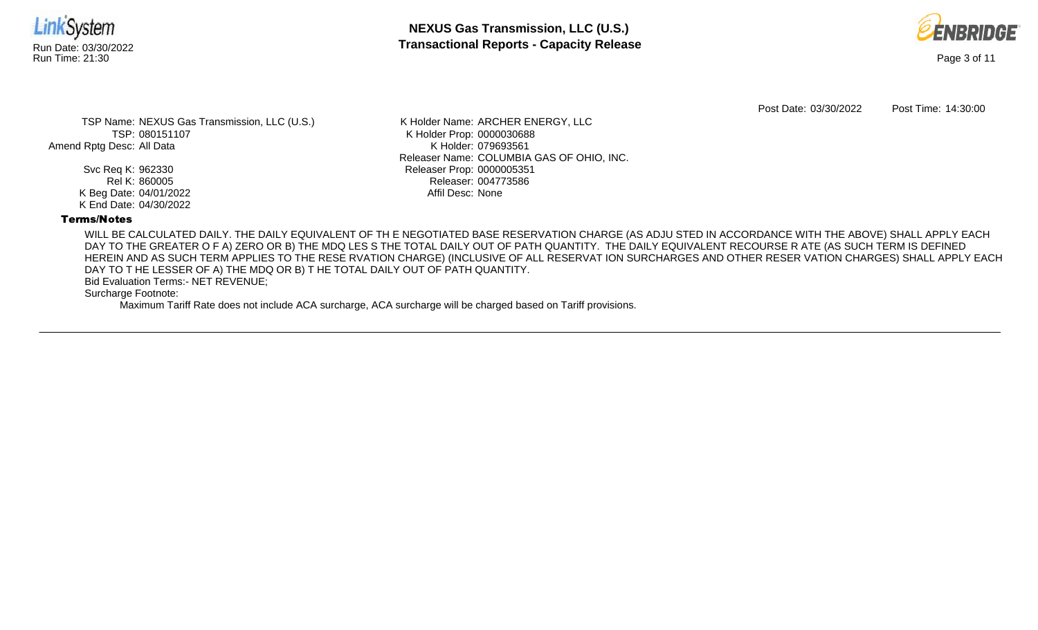

**NEXUS Gas Transmission, LLC (U.S.)** Run Date: 03/30/2022 **Transactional Reports - Capacity Release**



Post Date: 03/30/2022 Post Time: 14:30:00

TSP Name: NEXUS Gas Transmission, LLC (U.S.) TSP: 080151107 Amend Rptg Desc: All Data

> Svc Req K: 962330 Rel K: 860005 K Beg Date: 04/01/2022 K End Date: 04/30/2022

K Holder Name: ARCHER ENERGY, LLC K Holder Prop: 0000030688 K Holder: 079693561 Releaser Name: COLUMBIA GAS OF OHIO, INC. Releaser Prop: 0000005351 Releaser: 004773586 Affil Desc: None

#### Terms/Notes

WILL BE CALCULATED DAILY. THE DAILY EQUIVALENT OF TH E NEGOTIATED BASE RESERVATION CHARGE (AS ADJU STED IN ACCORDANCE WITH THE ABOVE) SHALL APPLY EACH DAY TO THE GREATER O F A) ZERO OR B) THE MDQ LES S THE TOTAL DAILY OUT OF PATH QUANTITY. THE DAILY EQUIVALENT RECOURSE R ATE (AS SUCH TERM IS DEFINED HEREIN AND AS SUCH TERM APPLIES TO THE RESE RVATION CHARGE) (INCLUSIVE OF ALL RESERVAT ION SURCHARGES AND OTHER RESER VATION CHARGES) SHALL APPLY EACH DAY TO T HE LESSER OF A) THE MDQ OR B) T HE TOTAL DAILY OUT OF PATH QUANTITY.

Bid Evaluation Terms:- NET REVENUE;

Surcharge Footnote:

Maximum Tariff Rate does not include ACA surcharge, ACA surcharge will be charged based on Tariff provisions.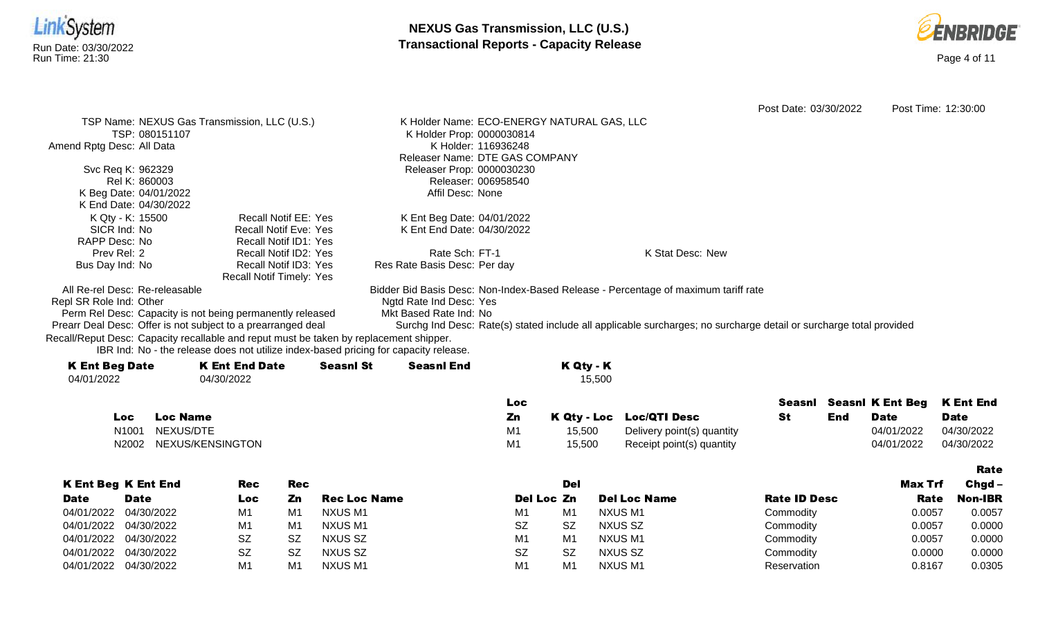



|                           |                                                                                        |                              |            |                     |                                                                                      |                     |            |             |                                                                                                                    | Post Date: 03/30/2022 |            |                         | Post Time: 12:30:00 |
|---------------------------|----------------------------------------------------------------------------------------|------------------------------|------------|---------------------|--------------------------------------------------------------------------------------|---------------------|------------|-------------|--------------------------------------------------------------------------------------------------------------------|-----------------------|------------|-------------------------|---------------------|
|                           | TSP Name: NEXUS Gas Transmission, LLC (U.S.)                                           |                              |            |                     | K Holder Name: ECO-ENERGY NATURAL GAS, LLC                                           |                     |            |             |                                                                                                                    |                       |            |                         |                     |
|                           | TSP: 080151107                                                                         |                              |            |                     | K Holder Prop: 0000030814                                                            |                     |            |             |                                                                                                                    |                       |            |                         |                     |
| Amend Rptg Desc: All Data |                                                                                        |                              |            |                     |                                                                                      | K Holder: 116936248 |            |             |                                                                                                                    |                       |            |                         |                     |
|                           |                                                                                        |                              |            |                     | Releaser Name: DTE GAS COMPANY                                                       |                     |            |             |                                                                                                                    |                       |            |                         |                     |
|                           | Svc Req K: 962329                                                                      |                              |            |                     | Releaser Prop: 0000030230                                                            |                     |            |             |                                                                                                                    |                       |            |                         |                     |
|                           | Rel K: 860003                                                                          |                              |            |                     |                                                                                      | Releaser: 006958540 |            |             |                                                                                                                    |                       |            |                         |                     |
|                           | K Beg Date: 04/01/2022<br>K End Date: 04/30/2022                                       |                              |            |                     | Affil Desc: None                                                                     |                     |            |             |                                                                                                                    |                       |            |                         |                     |
|                           | K Qty - K: 15500                                                                       | <b>Recall Notif EE: Yes</b>  |            |                     |                                                                                      |                     |            |             |                                                                                                                    |                       |            |                         |                     |
|                           | SICR Ind: No                                                                           | <b>Recall Notif Eve: Yes</b> |            |                     | K Ent Beg Date: 04/01/2022<br>K Ent End Date: 04/30/2022                             |                     |            |             |                                                                                                                    |                       |            |                         |                     |
| RAPP Desc: No             |                                                                                        | Recall Notif ID1: Yes        |            |                     |                                                                                      |                     |            |             |                                                                                                                    |                       |            |                         |                     |
| Prev Rel: 2               |                                                                                        | Recall Notif ID2: Yes        |            |                     | Rate Sch: FT-1                                                                       |                     |            |             | K Stat Desc: New                                                                                                   |                       |            |                         |                     |
| Bus Day Ind: No           |                                                                                        | Recall Notif ID3: Yes        |            |                     | Res Rate Basis Desc: Per day                                                         |                     |            |             |                                                                                                                    |                       |            |                         |                     |
|                           |                                                                                        | Recall Notif Timely: Yes     |            |                     |                                                                                      |                     |            |             |                                                                                                                    |                       |            |                         |                     |
|                           | All Re-rel Desc: Re-releasable                                                         |                              |            |                     |                                                                                      |                     |            |             | Bidder Bid Basis Desc: Non-Index-Based Release - Percentage of maximum tariff rate                                 |                       |            |                         |                     |
| Repl SR Role Ind: Other   |                                                                                        |                              |            |                     | Ngtd Rate Ind Desc: Yes                                                              |                     |            |             |                                                                                                                    |                       |            |                         |                     |
|                           | Perm Rel Desc: Capacity is not being permanently released                              |                              |            |                     | Mkt Based Rate Ind: No                                                               |                     |            |             |                                                                                                                    |                       |            |                         |                     |
|                           | Prearr Deal Desc: Offer is not subject to a prearranged deal                           |                              |            |                     |                                                                                      |                     |            |             | Surchg Ind Desc: Rate(s) stated include all applicable surcharges; no surcharge detail or surcharge total provided |                       |            |                         |                     |
|                           | Recall/Reput Desc: Capacity recallable and reput must be taken by replacement shipper. |                              |            |                     | IBR Ind: No - the release does not utilize index-based pricing for capacity release. |                     |            |             |                                                                                                                    |                       |            |                         |                     |
| <b>K Ent Beg Date</b>     |                                                                                        | <b>K Ent End Date</b>        |            | <b>Seasnl St</b>    | <b>Seasnl End</b>                                                                    |                     |            | K Qty - K   |                                                                                                                    |                       |            |                         |                     |
| 04/01/2022                |                                                                                        | 04/30/2022                   |            |                     |                                                                                      |                     |            | 15,500      |                                                                                                                    |                       |            |                         |                     |
|                           |                                                                                        |                              |            |                     |                                                                                      | Loc                 |            |             |                                                                                                                    | Seasnl                |            | <b>SeasnI K Ent Beg</b> | <b>K Ent End</b>    |
|                           | <b>Loc Name</b><br>Loc.                                                                |                              |            |                     |                                                                                      | Zn                  |            | K Qty - Loc | <b>Loc/QTI Desc</b>                                                                                                | <b>St</b>             | <b>End</b> | <b>Date</b>             | <b>Date</b>         |
|                           | NEXUS/DTE<br>N1001                                                                     |                              |            |                     |                                                                                      | M <sub>1</sub>      |            | 15,500      | Delivery point(s) quantity                                                                                         |                       |            | 04/01/2022              | 04/30/2022          |
|                           | NEXUS/KENSINGTON<br>N2002                                                              |                              |            |                     |                                                                                      | M1                  |            | 15,500      | Receipt point(s) quantity                                                                                          |                       |            | 04/01/2022              | 04/30/2022          |
|                           |                                                                                        |                              |            |                     |                                                                                      |                     |            |             |                                                                                                                    |                       |            |                         |                     |
|                           |                                                                                        |                              |            |                     |                                                                                      |                     |            |             |                                                                                                                    |                       |            |                         | <b>Rate</b>         |
|                           | <b>K Ent Beg K Ent End</b>                                                             | <b>Rec</b>                   | <b>Rec</b> |                     |                                                                                      |                     |            | <b>Del</b>  |                                                                                                                    |                       |            | <b>Max Trf</b>          | Chgd-               |
| <b>Date</b>               | <b>Date</b>                                                                            | Loc                          | Zn         | <b>Rec Loc Name</b> |                                                                                      |                     | Del Loc Zn |             | <b>Del Loc Name</b>                                                                                                | <b>Rate ID Desc</b>   |            | Rate                    | <b>Non-IBR</b>      |
|                           |                                                                                        |                              |            |                     |                                                                                      |                     |            |             | <b>NXUSM1</b>                                                                                                      | Commodity             |            |                         | 0.0057              |
| 04/01/2022                | 04/30/2022                                                                             | M1                           | M1         | <b>NXUSM1</b>       |                                                                                      | M1                  | M1         |             |                                                                                                                    |                       |            | 0.0057                  |                     |
| 04/01/2022                | 04/30/2022                                                                             | M1                           | M1         | <b>NXUSM1</b>       |                                                                                      | <b>SZ</b>           |            | <b>SZ</b>   | <b>NXUS SZ</b>                                                                                                     | Commodity             |            | 0.0057                  | 0.0000              |
| 04/01/2022                | 04/30/2022                                                                             | SZ                           | <b>SZ</b>  | <b>NXUS SZ</b>      |                                                                                      | M1                  | M1         |             | <b>NXUSM1</b>                                                                                                      | Commodity             |            | 0.0057                  | 0.0000              |
| 04/01/2022                | 04/30/2022                                                                             | <b>SZ</b>                    | <b>SZ</b>  | <b>NXUS SZ</b>      |                                                                                      | <b>SZ</b>           |            | <b>SZ</b>   | <b>NXUS SZ</b>                                                                                                     | Commodity             |            | 0.0000                  | 0.0000              |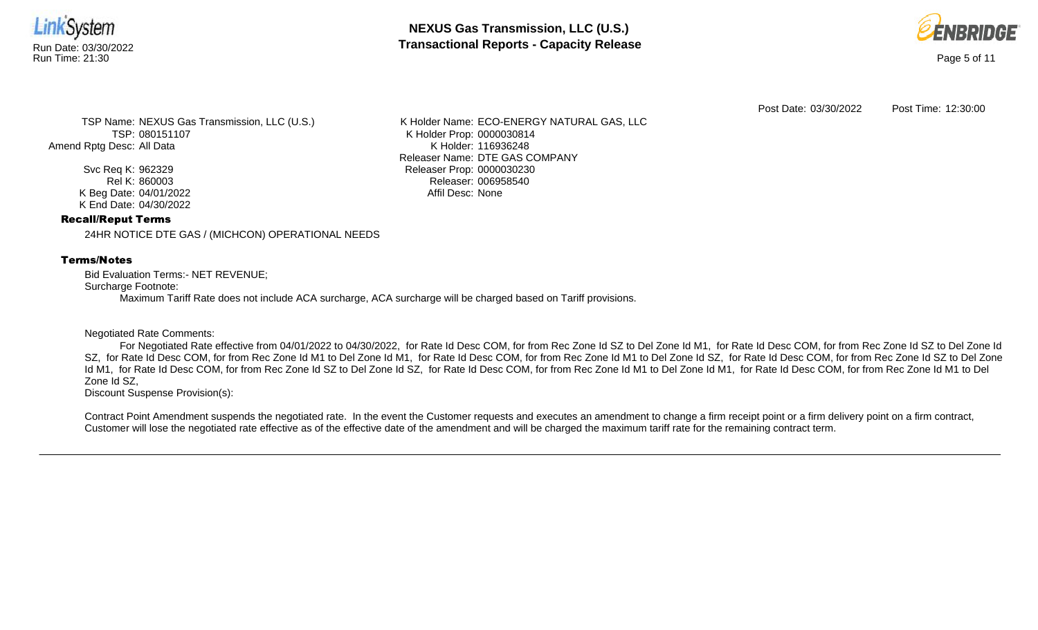

**NEXUS Gas Transmission, LLC (U.S.)** Run Date: 03/30/2022<br>Run Time: 21:30<br>Run Time: 21:30



Post Date: 03/30/2022 Post Time: 12:30:00

TSP Name: NEXUS Gas Transmission, LLC (U.S.) TSP: 080151107 Amend Rptg Desc: All Data

> Svc Req K: 962329 Rel K: 860003 K Beg Date: 04/01/2022 K End Date: 04/30/2022

K Holder Name: ECO-ENERGY NATURAL GAS, LLC K Holder Prop: 0000030814 K Holder: 116936248 Releaser Name: DTE GAS COMPANY Releaser Prop: 0000030230 Releaser: 006958540 Affil Desc: None

#### Recall/Reput Terms

24HR NOTICE DTE GAS / (MICHCON) OPERATIONAL NEEDS

# Terms/Notes

Bid Evaluation Terms:- NET REVENUE; Surcharge Footnote: Maximum Tariff Rate does not include ACA surcharge, ACA surcharge will be charged based on Tariff provisions.

#### Negotiated Rate Comments:

For Negotiated Rate effective from 04/01/2022 to 04/30/2022, for Rate Id Desc COM, for from Rec Zone Id SZ to Del Zone Id M1, for Rate Id Desc COM, for from Rec Zone Id SZ to Del Zone Id SZ, for Rate Id Desc COM, for from Rec Zone Id M1 to Del Zone Id M1, for Rate Id Desc COM, for from Rec Zone Id SO id Desc COM, for from Rec Zone Id SZ to Del Zone Id M1, for Rate Id Desc COM, for from Rec Zone Id SZ to Del Zone Id SZ, for Rate Id Desc COM, for from Rec Zone Id M1 to Del Zone Id M1, for Rate Id Desc COM, for from Rec Zone Id M1 to Del Zone Id SZ,

Discount Suspense Provision(s):

Contract Point Amendment suspends the negotiated rate. In the event the Customer requests and executes an amendment to change a firm receipt point or a firm delivery point on a firm contract, Customer will lose the negotiated rate effective as of the effective date of the amendment and will be charged the maximum tariff rate for the remaining contract term.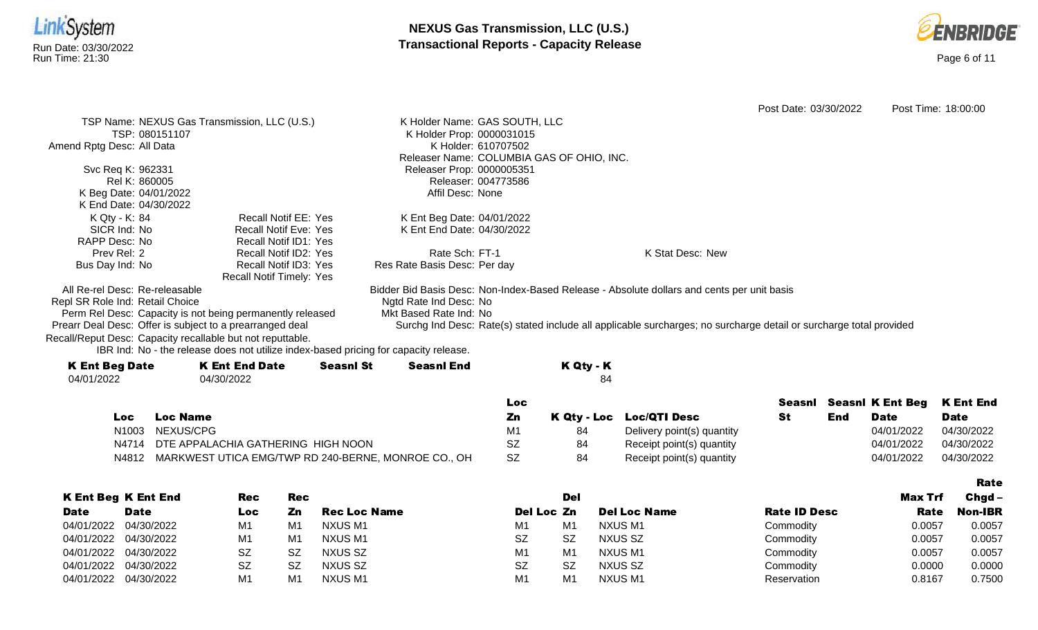



|                                                                   |                                                                                      |                  |                               |                     |                                           |                                                                                                                    | Post Date: 03/30/2022 |            |                         | Post Time: 18:00:00 |
|-------------------------------------------------------------------|--------------------------------------------------------------------------------------|------------------|-------------------------------|---------------------|-------------------------------------------|--------------------------------------------------------------------------------------------------------------------|-----------------------|------------|-------------------------|---------------------|
|                                                                   | TSP Name: NEXUS Gas Transmission, LLC (U.S.)                                         |                  | K Holder Name: GAS SOUTH, LLC |                     |                                           |                                                                                                                    |                       |            |                         |                     |
| TSP: 080151107                                                    |                                                                                      |                  | K Holder Prop: 0000031015     |                     |                                           |                                                                                                                    |                       |            |                         |                     |
| Amend Rptg Desc: All Data                                         |                                                                                      |                  |                               | K Holder: 610707502 |                                           |                                                                                                                    |                       |            |                         |                     |
|                                                                   |                                                                                      |                  |                               |                     | Releaser Name: COLUMBIA GAS OF OHIO, INC. |                                                                                                                    |                       |            |                         |                     |
| Svc Req K: 962331                                                 |                                                                                      |                  | Releaser Prop: 0000005351     |                     |                                           |                                                                                                                    |                       |            |                         |                     |
| Rel K: 860005                                                     |                                                                                      |                  |                               | Releaser: 004773586 |                                           |                                                                                                                    |                       |            |                         |                     |
| K Beg Date: 04/01/2022                                            |                                                                                      |                  | Affil Desc: None              |                     |                                           |                                                                                                                    |                       |            |                         |                     |
| K End Date: 04/30/2022                                            |                                                                                      |                  |                               |                     |                                           |                                                                                                                    |                       |            |                         |                     |
| K Qty - K: 84                                                     | Recall Notif EE: Yes                                                                 |                  | K Ent Beg Date: 04/01/2022    |                     |                                           |                                                                                                                    |                       |            |                         |                     |
| SICR Ind: No                                                      | <b>Recall Notif Eve: Yes</b>                                                         |                  | K Ent End Date: 04/30/2022    |                     |                                           |                                                                                                                    |                       |            |                         |                     |
| RAPP Desc: No                                                     | <b>Recall Notif ID1: Yes</b>                                                         |                  |                               |                     |                                           |                                                                                                                    |                       |            |                         |                     |
| Prev Rel: 2                                                       | Recall Notif ID2: Yes                                                                |                  | Rate Sch: FT-1                |                     |                                           | K Stat Desc: New                                                                                                   |                       |            |                         |                     |
| Bus Day Ind: No                                                   | Recall Notif ID3: Yes<br><b>Recall Notif Timely: Yes</b>                             |                  | Res Rate Basis Desc: Per day  |                     |                                           |                                                                                                                    |                       |            |                         |                     |
|                                                                   |                                                                                      |                  |                               |                     |                                           |                                                                                                                    |                       |            |                         |                     |
| All Re-rel Desc: Re-releasable<br>Repl SR Role Ind: Retail Choice |                                                                                      |                  | Ngtd Rate Ind Desc: No        |                     |                                           | Bidder Bid Basis Desc: Non-Index-Based Release - Absolute dollars and cents per unit basis                         |                       |            |                         |                     |
|                                                                   | Perm Rel Desc: Capacity is not being permanently released                            |                  | Mkt Based Rate Ind: No        |                     |                                           |                                                                                                                    |                       |            |                         |                     |
| Prearr Deal Desc: Offer is subject to a prearranged deal          |                                                                                      |                  |                               |                     |                                           | Surchg Ind Desc: Rate(s) stated include all applicable surcharges; no surcharge detail or surcharge total provided |                       |            |                         |                     |
| Recall/Reput Desc: Capacity recallable but not reputtable.        |                                                                                      |                  |                               |                     |                                           |                                                                                                                    |                       |            |                         |                     |
|                                                                   | IBR Ind: No - the release does not utilize index-based pricing for capacity release. |                  |                               |                     |                                           |                                                                                                                    |                       |            |                         |                     |
| <b>K Ent Beg Date</b>                                             | <b>K Ent End Date</b>                                                                | <b>Seasnl St</b> | <b>Seasnl End</b>             |                     | K Qty - K                                 |                                                                                                                    |                       |            |                         |                     |
| 04/01/2022                                                        | 04/30/2022                                                                           |                  |                               |                     | 84                                        |                                                                                                                    |                       |            |                         |                     |
|                                                                   |                                                                                      |                  |                               |                     |                                           |                                                                                                                    |                       |            |                         |                     |
|                                                                   |                                                                                      |                  |                               | Loc                 |                                           |                                                                                                                    | Seasnl                |            | <b>Seasnl K Ent Beg</b> | <b>K</b> Ent End    |
| Loc                                                               | <b>Loc Name</b>                                                                      |                  |                               | Zn                  | K Qty - Loc                               | <b>Loc/QTI Desc</b>                                                                                                | <b>St</b>             | <b>End</b> | <b>Date</b>             | <b>Date</b>         |
| N <sub>1003</sub>                                                 | NEXUS/CPG                                                                            |                  |                               | M1                  | 84                                        | Delivery point(s) quantity                                                                                         |                       |            | 04/01/2022              | 04/30/2022          |
| N4714                                                             | DTE APPALACHIA GATHERING HIGH NOON                                                   |                  |                               | <b>SZ</b>           | 84                                        | Receipt point(s) quantity                                                                                          |                       |            | 04/01/2022              | 04/30/2022          |
| N4812                                                             | MARKWEST UTICA EMG/TWP RD 240-BERNE, MONROE CO., OH                                  |                  |                               | <b>SZ</b>           | 84                                        | Receipt point(s) quantity                                                                                          |                       |            | 04/01/2022              | 04/30/2022          |

|                       |                            |           |     |                     |                |                |                     |                     |                | <b>Rate</b>    |
|-----------------------|----------------------------|-----------|-----|---------------------|----------------|----------------|---------------------|---------------------|----------------|----------------|
|                       | <b>K Ent Beg K Ent End</b> | Rec       | Rec |                     |                | Del            |                     |                     | <b>Max Trf</b> | $Chgd -$       |
| <b>Date</b>           | <b>Date</b>                | Loc       | Zn  | <b>Rec Loc Name</b> | Del Loc Zn     |                | <b>Del Loc Name</b> | <b>Rate ID Desc</b> | Rate           | <b>Non-IBR</b> |
|                       | 04/01/2022 04/30/2022      | M1        | M1  | NXUS M1             | M1             | M1             | NXUS M1             | Commodity           | 0.0057         | 0.0057         |
|                       | 04/01/2022 04/30/2022      | M1        | M1  | NXUS M1             | <b>SZ</b>      | <b>SZ</b>      | NXUS SZ             | Commodity           | 0.0057         | 0.0057         |
|                       | 04/01/2022 04/30/2022      | SZ        | .SZ | NXUS SZ             | M1             | M1             | NXUS M1             | Commodity           | 0.0057         | 0.0057         |
|                       | 04/01/2022 04/30/2022      | <b>SZ</b> | -SZ | NXUS SZ             | <b>SZ</b>      | <b>SZ</b>      | NXUS SZ             | Commodity           | 0.0000         | 0.0000         |
| 04/01/2022 04/30/2022 |                            | M1        | M1  | NXUS M1             | M <sub>1</sub> | M <sub>1</sub> | NXUS M1             | Reservation         | 0.8167         | 0.7500         |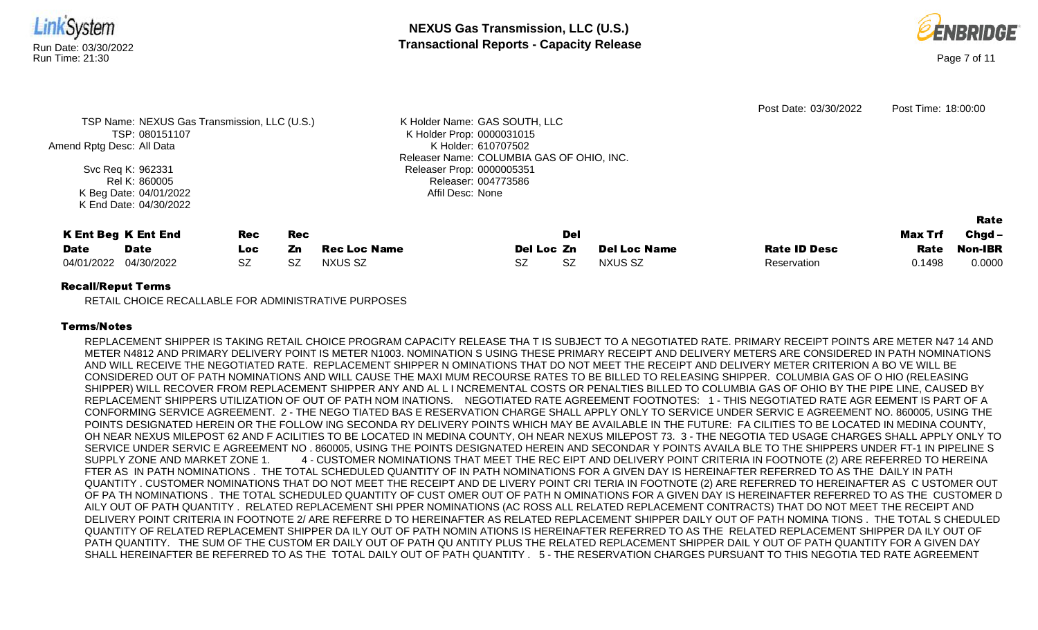



Post Date: 03/30/2022 Post Time: 18:00:00 TSP Name: NEXUS Gas Transmission, LLC (U.S.) TSP: 080151107 Amend Rptg Desc: All Data Svc Req K: 962331 Rel K: 860005 K Beg Date: 04/01/2022 K End Date: 04/30/2022 K Holder Name: GAS SOUTH, LLC K Holder Prop: 0000031015 K Holder: 610707502 Releaser Name: COLUMBIA GAS OF OHIO, INC. Releaser Prop: 0000005351 Releaser: 004773586 Affil Desc: None K Ent Beg K Ent End **Date** Date Rec Loc Rec Zn Rec Loc Name Del Loc Zn Del **Del Loc Name Rate ID Desc** Max Trf Rate Rate Chgd-Non-IBR 04/01/2022 04/30/2022 SZ SZ NXUS SZ SZ SZ NXUS SZ Reservation 0.1498 0.0000

# Recall/Reput Terms

RETAIL CHOICE RECALLABLE FOR ADMINISTRATIVE PURPOSES

# Terms/Notes

REPLACEMENT SHIPPER IS TAKING RETAIL CHOICE PROGRAM CAPACITY RELEASE THA T IS SUBJECT TO A NEGOTIATED RATE. PRIMARY RECEIPT POINTS ARE METER N47 14 AND METER N4812 AND PRIMARY DELIVERY POINT IS METER N1003. NOMINATION S USING THESE PRIMARY RECEIPT AND DELIVERY METERS ARE CONSIDERED IN PATH NOMINATIONS AND WILL RECEIVE THE NEGOTIATED RATE. REPLACEMENT SHIPPER N OMINATIONS THAT DO NOT MEET THE RECEIPT AND DELIVERY METER CRITERION A BO VE WILL BE CONSIDERED OUT OF PATH NOMINATIONS AND WILL CAUSE THE MAXI MUM RECOURSE RATES TO BE BILLED TO RELEASING SHIPPER. COLUMBIA GAS OF O HIO (RELEASING SHIPPER) WILL RECOVER FROM REPLACEMENT SHIPPER ANY AND AL L I NCREMENTAL COSTS OR PENALTIES BILLED TO COLUMBIA GAS OF OHIO BY THE PIPE LINE, CAUSED BY REPLACEMENT SHIPPERS UTILIZATION OF OUT OF PATH NOM INATIONS. NEGOTIATED RATE AGREEMENT FOOTNOTES: 1 - THIS NEGOTIATED RATE AGR EEMENT IS PART OF A CONFORMING SERVICE AGREEMENT. 2 - THE NEGO TIATED BAS E RESERVATION CHARGE SHALL APPLY ONLY TO SERVICE UNDER SERVIC E AGREEMENT NO. 860005, USING THE POINTS DESIGNATED HEREIN OR THE FOLLOW ING SECONDA RY DELIVERY POINTS WHICH MAY BE AVAILABLE IN THE FUTURE: FA CILITIES TO BE LOCATED IN MEDINA COUNTY, OH NEAR NEXUS MILEPOST 62 AND F ACILITIES TO BE LOCATED IN MEDINA COUNTY, OH NEAR NEXUS MILEPOST 73. 3 - THE NEGOTIA TED USAGE CHARGES SHALL APPLY ONLY TO SERVICE UNDER SERVIC E AGREEMENT NO . 860005, USING THE POINTS DESIGNATED HEREIN AND SECONDAR Y POINTS AVAILA BLE TO THE SHIPPERS UNDER FT-1 IN PIPELINE S SUPPLY ZONE AND MARKET ZONE 1. 4 - CUSTOMER NOMINATIONS THAT MEET THE REC EIPT AND DELIVERY POINT CRITERIA IN FOOTNOTE (2) ARE REFERRED TO HEREINA FTER AS IN PATH NOMINATIONS . THE TOTAL SCHEDULED QUANTITY OF IN PATH NOMINATIONS FOR A GIVEN DAY IS HEREINAFTER REFERRED TO AS THE DAILY IN PATH QUANTITY . CUSTOMER NOMINATIONS THAT DO NOT MEET THE RECEIPT AND DE LIVERY POINT CRI TERIA IN FOOTNOTE (2) ARE REFERRED TO HEREINAFTER AS C USTOMER OUT OF PA TH NOMINATIONS . THE TOTAL SCHEDULED QUANTITY OF CUST OMER OUT OF PATH N OMINATIONS FOR A GIVEN DAY IS HEREINAFTER REFERRED TO AS THE CUSTOMER D AILY OUT OF PATH QUANTITY . RELATED REPLACEMENT SHI PPER NOMINATIONS (AC ROSS ALL RELATED REPLACEMENT CONTRACTS) THAT DO NOT MEET THE RECEIPT AND DELIVERY POINT CRITERIA IN FOOTNOTE 2/ ARE REFERRE D TO HEREINAFTER AS RELATED REPLACEMENT SHIPPER DAILY OUT OF PATH NOMINA TIONS . THE TOTAL S CHEDULED QUANTITY OF RELATED REPLACEMENT SHIPPER DA ILY OUT OF PATH NOMIN ATIONS IS HEREINAFTER REFERRED TO AS THE RELATED REPLACEMENT SHIPPER DA ILY OUT OF PATH QUANTITY. THE SUM OF THE CUSTOM ER DAILY OUT OF PATH QU ANTITY PLUS THE RELATED REPLACEMENT SHIPPER DAIL Y OUT OF PATH QUANTITY FOR A GIVEN DAY SHALL HEREINAFTER BE REFERRED TO AS THE TOTAL DAILY OUT OF PATH QUANTITY . 5 - THE RESERVATION CHARGES PURSUANT TO THIS NEGOTIA TED RATE AGREEMENT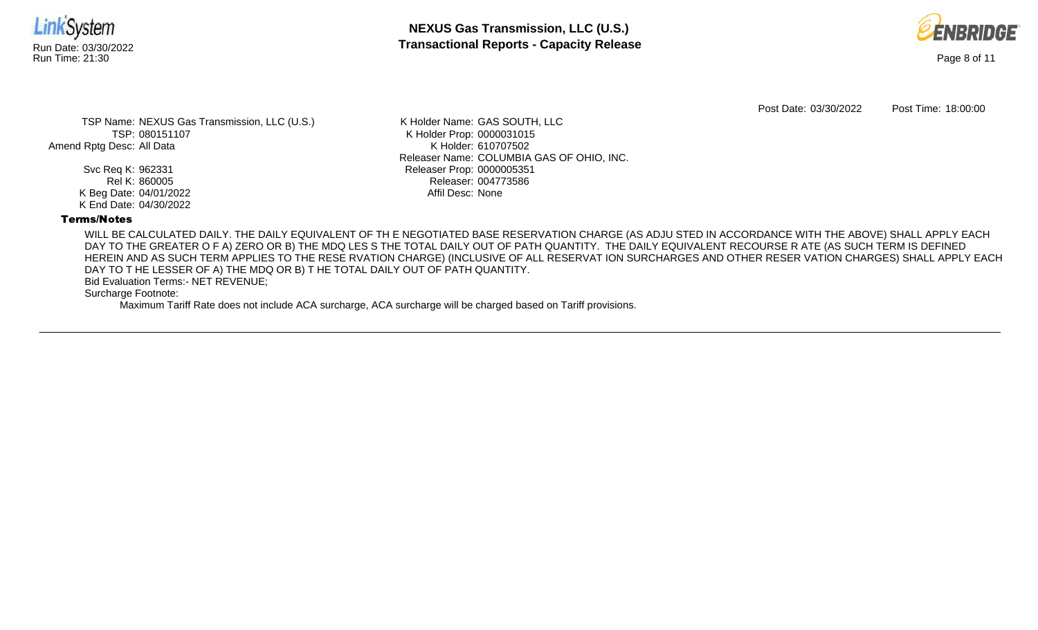

**NEXUS Gas Transmission, LLC (U.S.)** Run Date: 03/30/2022 **Transactional Reports - Capacity Release**



Post Date: 03/30/2022 Post Time: 18:00:00

TSP Name: NEXUS Gas Transmission, LLC (U.S.) TSP: 080151107 Amend Rptg Desc: All Data

> Svc Req K: 962331 Rel K: 860005 K Beg Date: 04/01/2022 K End Date: 04/30/2022

K Holder Name: GAS SOUTH, LLC K Holder Prop: 0000031015 K Holder: 610707502 Releaser Name: COLUMBIA GAS OF OHIO, INC. Releaser Prop: 0000005351 Releaser: 004773586 Affil Desc: None

#### Terms/Notes

WILL BE CALCULATED DAILY. THE DAILY EQUIVALENT OF TH E NEGOTIATED BASE RESERVATION CHARGE (AS ADJU STED IN ACCORDANCE WITH THE ABOVE) SHALL APPLY EACH DAY TO THE GREATER O F A) ZERO OR B) THE MDQ LES S THE TOTAL DAILY OUT OF PATH QUANTITY. THE DAILY EQUIVALENT RECOURSE R ATE (AS SUCH TERM IS DEFINED HEREIN AND AS SUCH TERM APPLIES TO THE RESE RVATION CHARGE) (INCLUSIVE OF ALL RESERVAT ION SURCHARGES AND OTHER RESER VATION CHARGES) SHALL APPLY EACH DAY TO T HE LESSER OF A) THE MDQ OR B) T HE TOTAL DAILY OUT OF PATH QUANTITY.

Bid Evaluation Terms:- NET REVENUE;

Surcharge Footnote:

Maximum Tariff Rate does not include ACA surcharge, ACA surcharge will be charged based on Tariff provisions.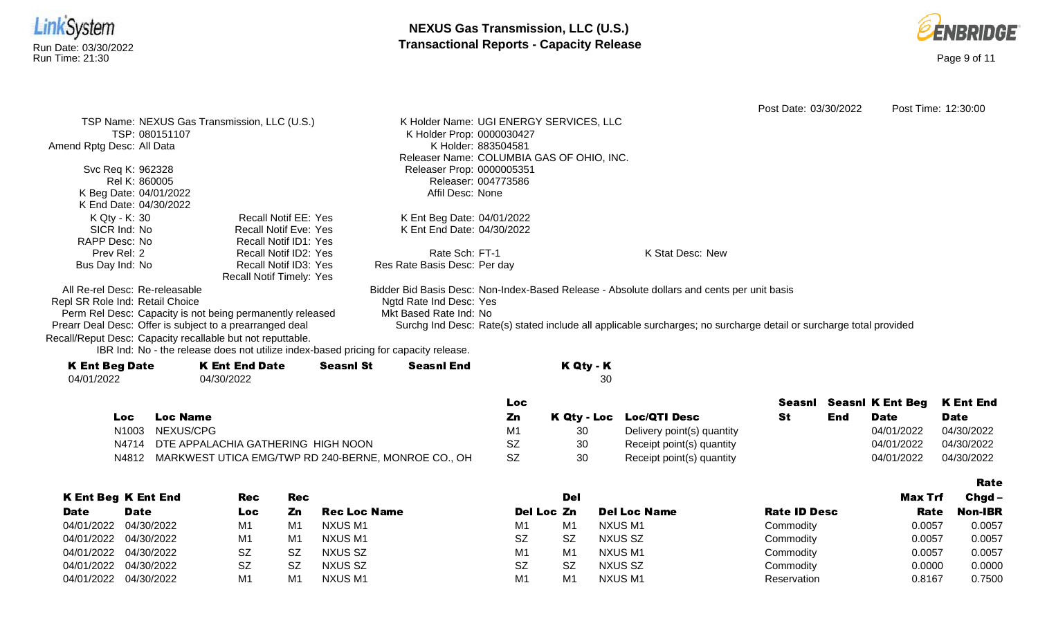



Rate

Post Date: 03/30/2022 Post Time: 12:30:00 TSP Name: NEXUS Gas Transmission, LLC (U.S.) TSP: 080151107 Amend Rptg Desc: All Data Svc Req K: 962328 Rel K: 860005 K Beg Date: 04/01/2022 K End Date: 04/30/2022 K Holder Name: UGI ENERGY SERVICES, LLC K Holder Prop: 0000030427 K Holder: 883504581 Releaser Name: COLUMBIA GAS OF OHIO, INC. Releaser Prop: 0000005351 Releaser: 004773586 Affil Desc: None K Qty - K: 30 SICR Ind: No RAPP Desc: No Prev Rel: 2 Bus Day Ind: No Recall Notif EE: Yes Recall Notif Eve: Yes Recall Notif ID1: Yes Recall Notif ID2: Yes Recall Notif ID3: Yes Recall Notif Timely: Yes K Ent Beg Date: 04/01/2022 K Ent End Date: 04/30/2022 Rate Sch: FT-1 Res Rate Basis Desc: Per day K Stat Desc: New All Re-rel Desc: Re-releasable Repl SR Role Ind: Retail Choice Perm Rel Desc: Capacity is not being permanently released Prearr Deal Desc: Offer is subject to a prearranged deal Bidder Bid Basis Desc: Non-Index-Based Release - Absolute dollars and cents per unit basis Ngtd Rate Ind Desc: Yes Mkt Based Rate Ind: No Surchg Ind Desc: Rate(s) stated include all applicable surcharges; no surcharge detail or surcharge total provided

Recall/Reput Desc: Capacity recallable but not reputtable.

IBR Ind: No - the release does not utilize index-based pricing for capacity release.

| <b>K Ent Beg Date</b> | <b>K Ent End Date</b> | <b>Seasnl St</b> | Seasnl End | K Qty - K |
|-----------------------|-----------------------|------------------|------------|-----------|
| 04/01/2022            | 04/30/2022            |                  |            | 30        |
|                       |                       |                  |            |           |

|     |                                                           | Loc |    |                            |     | Seasni Seasni K Ent Beg K Ent End |             |
|-----|-----------------------------------------------------------|-----|----|----------------------------|-----|-----------------------------------|-------------|
| Loc | <b>Loc Name</b>                                           | Zn  |    | K Qty - Loc Loc/QTI Desc   | End | Date                              | <b>Date</b> |
|     | N1003 NEXUS/CPG                                           | M1  | 30 | Delivery point(s) quantity |     | 04/01/2022                        | 04/30/2022  |
|     | N4714 DTE APPALACHIA GATHERING HIGH NOON                  | SZ  | 30 | Receipt point(s) quantity  |     | 04/01/2022                        | 04/30/2022  |
|     | N4812 MARKWEST UTICA EMG/TWP RD 240-BERNE, MONROE CO., OH | -SZ | 30 | Receipt point(s) quantity  |     | 04/01/2022                        | 04/30/2022  |

|             |                            |            |     |              |                |                |                     |                     |         | --------       |
|-------------|----------------------------|------------|-----|--------------|----------------|----------------|---------------------|---------------------|---------|----------------|
|             | <b>K Ent Beg K Ent End</b> | <b>Rec</b> | Rec |              |                | Del            |                     |                     | Max Trf | $Chqd -$       |
| <b>Date</b> | <b>Date</b>                | Loc        | Zn  | Rec Loc Name | Del Loc Zn     |                | <b>Del Loc Name</b> | <b>Rate ID Desc</b> | Rate    | <b>Non-IBR</b> |
|             | 04/01/2022 04/30/2022      | M1         | M1  | NXUS M1      | M <sub>1</sub> | M <sub>1</sub> | NXUS M1             | Commodity           | 0.0057  | 0.0057         |
|             | 04/01/2022 04/30/2022      | M1         | M1  | NXUS M1      | <b>SZ</b>      | <b>SZ</b>      | NXUS SZ             | Commodity           | 0.0057  | 0.0057         |
|             | 04/01/2022 04/30/2022      | <b>SZ</b>  | SZ  | NXUS SZ      | M <sub>1</sub> | M <sub>1</sub> | NXUS M1             | Commodity           | 0.0057  | 0.0057         |
|             | 04/01/2022 04/30/2022      | <b>SZ</b>  | SZ  | NXUS SZ      | <b>SZ</b>      | <b>SZ</b>      | NXUS SZ             | Commodity           | 0.0000  | 0.0000         |
|             | 04/01/2022 04/30/2022      | M1         | M1  | NXUS M1      | M <sub>1</sub> | M <sub>1</sub> | <b>NXUS M1</b>      | Reservation         | 0.8167  | 0.7500         |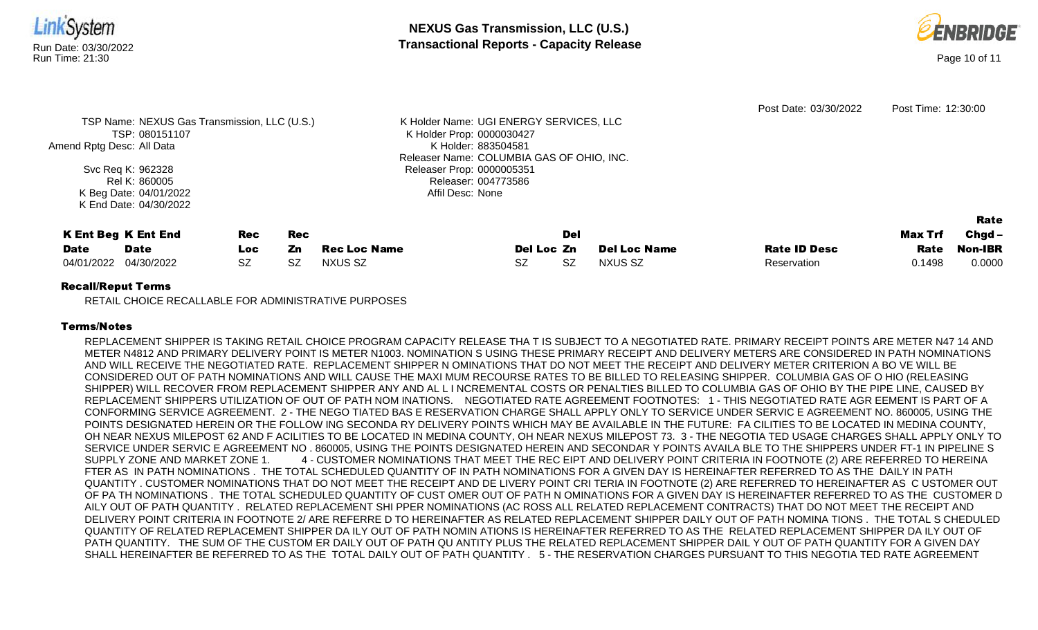



|                                              |                     |                     |                                           |            |                     | Post Date: 03/30/2022 | Post Time: 12:30:00 |          |
|----------------------------------------------|---------------------|---------------------|-------------------------------------------|------------|---------------------|-----------------------|---------------------|----------|
| TSP Name: NEXUS Gas Transmission, LLC (U.S.) |                     |                     | K Holder Name: UGI ENERGY SERVICES, LLC   |            |                     |                       |                     |          |
| TSP: 080151107                               |                     |                     | K Holder Prop: 0000030427                 |            |                     |                       |                     |          |
| Amend Rptg Desc: All Data                    |                     |                     | K Holder: 883504581                       |            |                     |                       |                     |          |
|                                              |                     |                     | Releaser Name: COLUMBIA GAS OF OHIO, INC. |            |                     |                       |                     |          |
| Svc Req K: 962328                            |                     |                     | Releaser Prop: 0000005351                 |            |                     |                       |                     |          |
| Rel K: 860005                                | Releaser: 004773586 |                     |                                           |            |                     |                       |                     |          |
| K Beg Date: 04/01/2022                       |                     |                     | Affil Desc: None                          |            |                     |                       |                     |          |
| K End Date: 04/30/2022                       |                     |                     |                                           |            |                     |                       |                     |          |
|                                              |                     |                     |                                           |            |                     |                       |                     | Rate     |
| <b>K Ent Beg K Ent End</b>                   | Rec                 | <b>Rec</b>          |                                           | Del        |                     |                       | Max Trf             | $Chgd -$ |
| <b>Date</b><br><b>Date</b>                   | Zn<br>Loc:          | <b>Rec Loc Name</b> |                                           | Del Loc Zn | <b>Del Loc Name</b> | <b>Rate ID Desc</b>   | Rate                | Non-IBR  |
| 04/30/2022<br>04/01/2022                     | SZ<br>SZ            | NXUS SZ             | SZ.                                       | SZ         | NXUS SZ             | Reservation           | 0.1498              | 0.0000   |

#### Recall/Reput Terms

RETAIL CHOICE RECALLABLE FOR ADMINISTRATIVE PURPOSES

# Terms/Notes

REPLACEMENT SHIPPER IS TAKING RETAIL CHOICE PROGRAM CAPACITY RELEASE THA T IS SUBJECT TO A NEGOTIATED RATE. PRIMARY RECEIPT POINTS ARE METER N47 14 AND METER N4812 AND PRIMARY DELIVERY POINT IS METER N1003. NOMINATION S USING THESE PRIMARY RECEIPT AND DELIVERY METERS ARE CONSIDERED IN PATH NOMINATIONS AND WILL RECEIVE THE NEGOTIATED RATE. REPLACEMENT SHIPPER N OMINATIONS THAT DO NOT MEET THE RECEIPT AND DELIVERY METER CRITERION A BO VE WILL BE CONSIDERED OUT OF PATH NOMINATIONS AND WILL CAUSE THE MAXI MUM RECOURSE RATES TO BE BILLED TO RELEASING SHIPPER. COLUMBIA GAS OF O HIO (RELEASING SHIPPER) WILL RECOVER FROM REPLACEMENT SHIPPER ANY AND AL L I NCREMENTAL COSTS OR PENALTIES BILLED TO COLUMBIA GAS OF OHIO BY THE PIPE LINE, CAUSED BY REPLACEMENT SHIPPERS UTILIZATION OF OUT OF PATH NOM INATIONS. NEGOTIATED RATE AGREEMENT FOOTNOTES: 1 - THIS NEGOTIATED RATE AGR EEMENT IS PART OF A CONFORMING SERVICE AGREEMENT. 2 - THE NEGO TIATED BAS E RESERVATION CHARGE SHALL APPLY ONLY TO SERVICE UNDER SERVIC E AGREEMENT NO. 860005, USING THE POINTS DESIGNATED HEREIN OR THE FOLLOW ING SECONDA RY DELIVERY POINTS WHICH MAY BE AVAILABLE IN THE FUTURE: FA CILITIES TO BE LOCATED IN MEDINA COUNTY, OH NEAR NEXUS MILEPOST 62 AND F ACILITIES TO BE LOCATED IN MEDINA COUNTY, OH NEAR NEXUS MILEPOST 73. 3 - THE NEGOTIA TED USAGE CHARGES SHALL APPLY ONLY TO SERVICE UNDER SERVIC E AGREEMENT NO . 860005, USING THE POINTS DESIGNATED HEREIN AND SECONDAR Y POINTS AVAILA BLE TO THE SHIPPERS UNDER FT-1 IN PIPELINE S SUPPLY ZONE AND MARKET ZONE 1. 4 - CUSTOMER NOMINATIONS THAT MEET THE REC EIPT AND DELIVERY POINT CRITERIA IN FOOTNOTE (2) ARE REFERRED TO HEREINA FTER AS IN PATH NOMINATIONS . THE TOTAL SCHEDULED QUANTITY OF IN PATH NOMINATIONS FOR A GIVEN DAY IS HEREINAFTER REFERRED TO AS THE DAILY IN PATH QUANTITY . CUSTOMER NOMINATIONS THAT DO NOT MEET THE RECEIPT AND DE LIVERY POINT CRI TERIA IN FOOTNOTE (2) ARE REFERRED TO HEREINAFTER AS C USTOMER OUT OF PA TH NOMINATIONS . THE TOTAL SCHEDULED QUANTITY OF CUST OMER OUT OF PATH N OMINATIONS FOR A GIVEN DAY IS HEREINAFTER REFERRED TO AS THE CUSTOMER D AILY OUT OF PATH QUANTITY . RELATED REPLACEMENT SHI PPER NOMINATIONS (AC ROSS ALL RELATED REPLACEMENT CONTRACTS) THAT DO NOT MEET THE RECEIPT AND DELIVERY POINT CRITERIA IN FOOTNOTE 2/ ARE REFERRE D TO HEREINAFTER AS RELATED REPLACEMENT SHIPPER DAILY OUT OF PATH NOMINA TIONS . THE TOTAL S CHEDULED QUANTITY OF RELATED REPLACEMENT SHIPPER DA ILY OUT OF PATH NOMIN ATIONS IS HEREINAFTER REFERRED TO AS THE RELATED REPLACEMENT SHIPPER DA ILY OUT OF PATH QUANTITY. THE SUM OF THE CUSTOM ER DAILY OUT OF PATH QU ANTITY PLUS THE RELATED REPLACEMENT SHIPPER DAIL Y OUT OF PATH QUANTITY FOR A GIVEN DAY SHALL HEREINAFTER BE REFERRED TO AS THE TOTAL DAILY OUT OF PATH QUANTITY . 5 - THE RESERVATION CHARGES PURSUANT TO THIS NEGOTIA TED RATE AGREEMENT